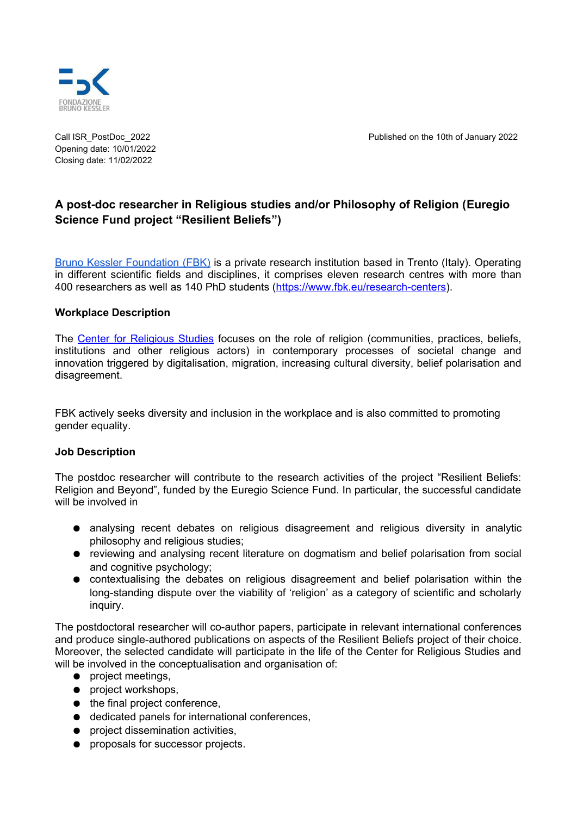

Opening date: 10/01/2022 Closing date: 11/02/2022

Call ISR\_PostDoc\_2022 Published on the 10th of January 2022

# **A post-doc researcher in Religious studies and/or Philosophy of Religion (Euregio Science Fund project "Resilient Beliefs")**

[Bruno Kessler Foundation \(FBK\)](https://www.fbk.eu/it/) is a private research institution based in Trento (Italy). Operating in different scientific fields and disciplines, it comprises eleven research centres with more than 400 researchers as well as 140 PhD students [\(https://www.fbk.eu/research-centers\)](https://www.fbk.eu/research-centers).

### **Workplace Description**

The [Center for Religious Studies](https://isr.fbk.eu/en/) focuses on the role of religion (communities, practices, beliefs, institutions and other religious actors) in contemporary processes of societal change and innovation triggered by digitalisation, migration, increasing cultural diversity, belief polarisation and disagreement.

FBK actively seeks diversity and inclusion in the workplace and is also committed to promoting gender equality.

#### **Job Description**

The postdoc researcher will contribute to the research activities of the project "Resilient Beliefs: Religion and Beyond", funded by the Euregio Science Fund. In particular, the successful candidate will be involved in

- analysing recent debates on religious disagreement and religious diversity in analytic philosophy and religious studies;
- reviewing and analysing recent literature on dogmatism and belief polarisation from social and cognitive psychology;
- contextualising the debates on religious disagreement and belief polarisation within the long-standing dispute over the viability of 'religion' as a category of scientific and scholarly inquiry.

The postdoctoral researcher will co-author papers, participate in relevant international conferences and produce single-authored publications on aspects of the Resilient Beliefs project of their choice. Moreover, the selected candidate will participate in the life of the Center for Religious Studies and will be involved in the conceptualisation and organisation of:

- project meetings,
- project workshops,
- the final project conference,
- dedicated panels for international conferences,
- project dissemination activities,
- proposals for successor projects.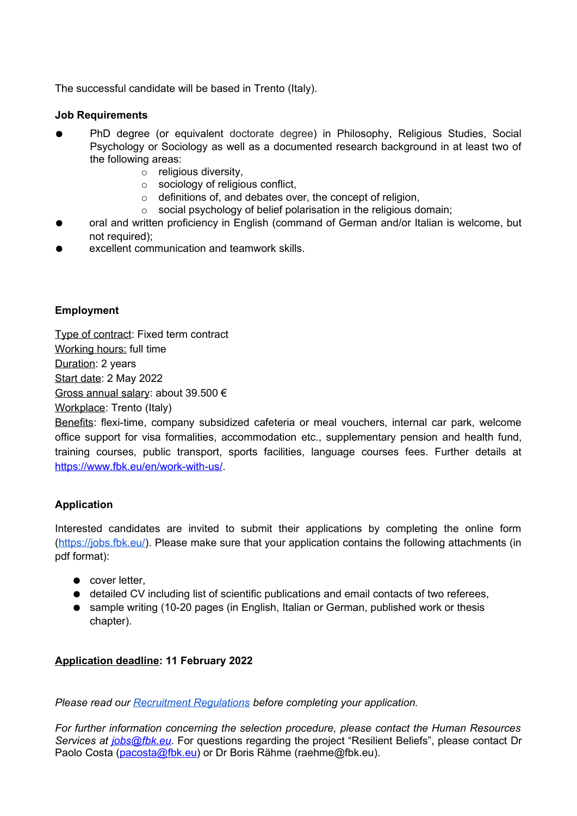The successful candidate will be based in Trento (Italy).

### **Job Requirements**

- PhD degree (or equivalent doctorate degree) in Philosophy, Religious Studies, Social Psychology or Sociology as well as a documented research background in at least two of the following areas:
	- o religious diversity,
	- o sociology of religious conflict,
	- $\circ$  definitions of, and debates over, the concept of religion,
	- $\circ$  social psychology of belief polarisation in the religious domain;
- oral and written proficiency in English (command of German and/or Italian is welcome, but not required);
- excellent communication and teamwork skills.

## **Employment**

Type of contract: Fixed term contract Working hours: full time Duration: 2 years Start date: 2 May 2022 Gross annual salary: about 39.500 € Workplace: Trento (Italy)

Benefits: flexi-time, company subsidized cafeteria or meal vouchers, internal car park, welcome office support for visa formalities, accommodation etc., supplementary pension and health fund, training courses, public transport, sports facilities, language courses fees. Further details at [https://www.fbk.eu/en/work-with-us/.](https://www.fbk.eu/en/work-with-us/)

## **Application**

Interested candidates are invited to submit their applications by completing the online form [\(https://jobs.fbk.eu/\)](https://jobs.fbk.eu/). Please make sure that your application contains the following attachments (in pdf format):

- cover letter,
- detailed CV including list of scientific publications and email contacts of two referees,
- sample writing (10-20 pages (in English, Italian or German, published work or thesis chapter).

## **Application deadline: 11 February 2022**

*Please read our [Recruitment Regulations](https://hr.fbk.eu/sites/hr.fbk.eu/files/eng-regolamento_selezione_personale_tempo_determinato.pdf) before completing your application.*

*For further information concerning the selection procedure, please contact the Human Resources Services at [jobs@fbk.eu](mailto:jobs@fbk.eu)*. For questions regarding the project "Resilient Beliefs", please contact Dr Paolo Costa [\(pacosta@fbk.eu\)](mailto:pacosta@fbk.eu) or Dr Boris Rähme (raehme@fbk.eu).